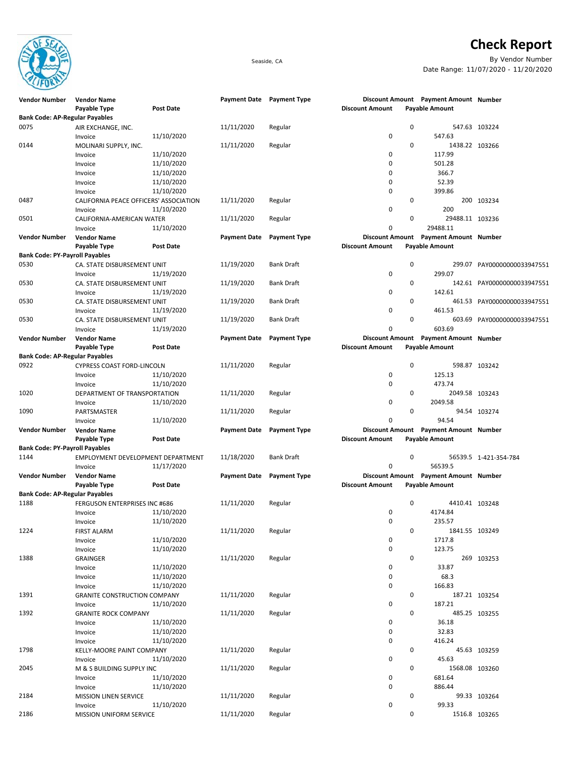

## **Check Report**

Seaside, CA By Vendor Number Date Range: 11/07/2020 - 11/20/2020

| <b>Vendor Number</b>                  | <b>Vendor Name</b>                     |                  |                     | Payment Date Payment Type |                        |             | Discount Amount Payment Amount Number |                             |
|---------------------------------------|----------------------------------------|------------------|---------------------|---------------------------|------------------------|-------------|---------------------------------------|-----------------------------|
|                                       | Payable Type                           | <b>Post Date</b> |                     |                           | <b>Discount Amount</b> |             | <b>Payable Amount</b>                 |                             |
| <b>Bank Code: AP-Regular Payables</b> |                                        |                  |                     |                           |                        |             |                                       |                             |
| 0075                                  | AIR EXCHANGE, INC.                     |                  | 11/11/2020          | Regular                   |                        | 0           |                                       | 547.63 103224               |
|                                       | Invoice                                | 11/10/2020       |                     |                           | 0                      |             | 547.63                                |                             |
| 0144                                  | MOLINARI SUPPLY, INC.                  |                  | 11/11/2020          | Regular                   |                        | 0           | 1438.22 103266                        |                             |
|                                       | Invoice                                | 11/10/2020       |                     |                           | 0                      |             | 117.99                                |                             |
|                                       | Invoice                                | 11/10/2020       |                     |                           | 0                      |             | 501.28                                |                             |
|                                       | Invoice                                | 11/10/2020       |                     |                           | 0                      |             | 366.7                                 |                             |
|                                       | Invoice                                | 11/10/2020       |                     |                           | 0                      |             | 52.39                                 |                             |
|                                       | Invoice                                | 11/10/2020       |                     |                           | 0                      |             | 399.86                                |                             |
| 0487                                  | CALIFORNIA PEACE OFFICERS' ASSOCIATION |                  | 11/11/2020          | Regular                   |                        | 0           |                                       | 200 103234                  |
|                                       | Invoice                                | 11/10/2020       |                     |                           | 0                      |             | 200                                   |                             |
| 0501                                  | CALIFORNIA-AMERICAN WATER              |                  | 11/11/2020          | Regular                   |                        | 0           | 29488.11 103236                       |                             |
|                                       | Invoice                                | 11/10/2020       |                     |                           | 0                      |             | 29488.11                              |                             |
| <b>Vendor Number</b>                  | <b>Vendor Name</b>                     |                  | <b>Payment Date</b> | <b>Payment Type</b>       |                        |             | Discount Amount Payment Amount Number |                             |
|                                       | Payable Type                           | <b>Post Date</b> |                     |                           | <b>Discount Amount</b> |             | <b>Payable Amount</b>                 |                             |
| <b>Bank Code: PY-Payroll Payables</b> |                                        |                  |                     |                           |                        |             |                                       |                             |
| 0530                                  | CA. STATE DISBURSEMENT UNIT            |                  | 11/19/2020          | <b>Bank Draft</b>         |                        | $\mathbf 0$ |                                       | 299.07 PAY00000000033947551 |
|                                       | Invoice                                | 11/19/2020       |                     |                           | 0                      |             | 299.07                                |                             |
| 0530                                  | CA. STATE DISBURSEMENT UNIT            |                  | 11/19/2020          | Bank Draft                |                        | 0           |                                       | 142.61 PAY00000000033947551 |
|                                       | Invoice                                | 11/19/2020       |                     |                           | 0                      |             | 142.61                                |                             |
| 0530                                  | CA. STATE DISBURSEMENT UNIT            |                  | 11/19/2020          | <b>Bank Draft</b>         |                        | 0           |                                       | 461.53 PAY00000000033947551 |
|                                       | Invoice                                | 11/19/2020       |                     |                           | 0                      |             | 461.53                                |                             |
| 0530                                  | CA. STATE DISBURSEMENT UNIT            |                  | 11/19/2020          | <b>Bank Draft</b>         |                        | 0           |                                       | 603.69 PAY00000000033947551 |
|                                       | Invoice                                | 11/19/2020       |                     |                           | 0                      |             | 603.69                                |                             |
| <b>Vendor Number</b>                  | <b>Vendor Name</b>                     |                  | <b>Payment Date</b> | <b>Payment Type</b>       |                        |             | Discount Amount Payment Amount Number |                             |
|                                       | Payable Type                           | <b>Post Date</b> |                     |                           | <b>Discount Amount</b> |             | <b>Payable Amount</b>                 |                             |
| <b>Bank Code: AP-Regular Payables</b> |                                        |                  |                     |                           |                        |             |                                       |                             |
| 0922                                  | CYPRESS COAST FORD-LINCOLN             |                  | 11/11/2020          | Regular                   |                        | $\mathbf 0$ |                                       | 598.87 103242               |
|                                       | Invoice                                | 11/10/2020       |                     |                           | 0                      |             | 125.13                                |                             |
|                                       | Invoice                                | 11/10/2020       |                     |                           | 0                      |             | 473.74                                |                             |
| 1020                                  | DEPARTMENT OF TRANSPORTATION           |                  | 11/11/2020          | Regular                   |                        | 0           | 2049.58 103243                        |                             |
|                                       | Invoice                                | 11/10/2020       |                     |                           | 0                      |             | 2049.58                               |                             |
| 1090                                  | PARTSMASTER                            |                  | 11/11/2020          | Regular                   |                        | 0           |                                       | 94.54 103274                |
|                                       | Invoice                                | 11/10/2020       |                     |                           | $\Omega$               |             | 94.54                                 |                             |
| <b>Vendor Number</b>                  | <b>Vendor Name</b>                     |                  | <b>Payment Date</b> | <b>Payment Type</b>       |                        |             | Discount Amount Payment Amount Number |                             |
|                                       | Payable Type                           | <b>Post Date</b> |                     |                           | <b>Discount Amount</b> |             | <b>Payable Amount</b>                 |                             |
| <b>Bank Code: PY-Payroll Payables</b> |                                        |                  |                     |                           |                        |             |                                       |                             |
| 1144                                  | EMPLOYMENT DEVELOPMENT DEPARTMENT      |                  | 11/18/2020          | <b>Bank Draft</b>         |                        | 0           |                                       | 56539.5 1-421-354-784       |
|                                       | Invoice                                | 11/17/2020       |                     |                           | 0                      |             | 56539.5                               |                             |
| <b>Vendor Number</b>                  | <b>Vendor Name</b>                     |                  | <b>Payment Date</b> | <b>Payment Type</b>       |                        |             | Discount Amount Payment Amount Number |                             |
|                                       | Payable Type                           | <b>Post Date</b> |                     |                           | <b>Discount Amount</b> |             | <b>Payable Amount</b>                 |                             |
| <b>Bank Code: AP-Regular Payables</b> |                                        |                  |                     |                           |                        |             |                                       |                             |
| 1188                                  | <b>FERGUSON ENTERPRISES INC #686</b>   |                  | 11/11/2020          | Regular                   |                        | 0           | 4410.41 103248                        |                             |
|                                       | Invoice                                | 11/10/2020       |                     |                           | 0                      |             | 4174.84                               |                             |
|                                       | Invoice                                | 11/10/2020       |                     |                           | 0                      |             | 235.57                                |                             |
| 1224                                  | FIRST ALARM                            |                  | 11/11/2020          | Regular                   |                        | 0           | 1841.55 103249                        |                             |
|                                       | Invoice                                | 11/10/2020       |                     |                           | 0                      |             | 1717.8                                |                             |
|                                       | Invoice                                | 11/10/2020       |                     |                           | $\pmb{0}$              |             | 123.75                                |                             |
| 1388                                  | GRAINGER                               |                  | 11/11/2020          | Regular                   |                        | $\mathbf 0$ |                                       | 269 103253                  |
|                                       | Invoice                                | 11/10/2020       |                     |                           | 0                      |             | 33.87                                 |                             |
|                                       | Invoice                                | 11/10/2020       |                     |                           | 0                      |             | 68.3                                  |                             |
|                                       | Invoice                                | 11/10/2020       |                     |                           | 0                      |             | 166.83                                |                             |
| 1391                                  | <b>GRANITE CONSTRUCTION COMPANY</b>    |                  | 11/11/2020          | Regular                   |                        | 0           |                                       | 187.21 103254               |
|                                       | Invoice                                | 11/10/2020       |                     |                           | 0                      |             | 187.21                                |                             |
| 1392                                  | <b>GRANITE ROCK COMPANY</b>            |                  | 11/11/2020          | Regular                   |                        | 0           |                                       | 485.25 103255               |
|                                       | Invoice                                | 11/10/2020       |                     |                           | 0                      |             | 36.18                                 |                             |
|                                       | Invoice                                | 11/10/2020       |                     |                           | 0                      |             | 32.83                                 |                             |
|                                       | Invoice                                | 11/10/2020       |                     |                           | 0                      |             | 416.24                                |                             |
| 1798                                  | KELLY-MOORE PAINT COMPANY              |                  | 11/11/2020          | Regular                   |                        | 0           |                                       | 45.63 103259                |
|                                       | Invoice                                | 11/10/2020       |                     |                           | 0                      |             | 45.63                                 |                             |
| 2045                                  | M & S BUILDING SUPPLY INC              |                  | 11/11/2020          | Regular                   |                        | 0           | 1568.08 103260                        |                             |
|                                       | Invoice                                | 11/10/2020       |                     |                           | 0                      |             | 681.64                                |                             |
|                                       | Invoice                                | 11/10/2020       |                     |                           | 0                      |             | 886.44                                |                             |
| 2184                                  | <b>MISSION LINEN SERVICE</b>           |                  | 11/11/2020          | Regular                   |                        | 0           |                                       | 99.33 103264                |
|                                       | Invoice                                | 11/10/2020       |                     |                           | 0                      |             | 99.33                                 |                             |
| 2186                                  | MISSION UNIFORM SERVICE                |                  | 11/11/2020          | Regular                   |                        | 0           |                                       | 1516.8 103265               |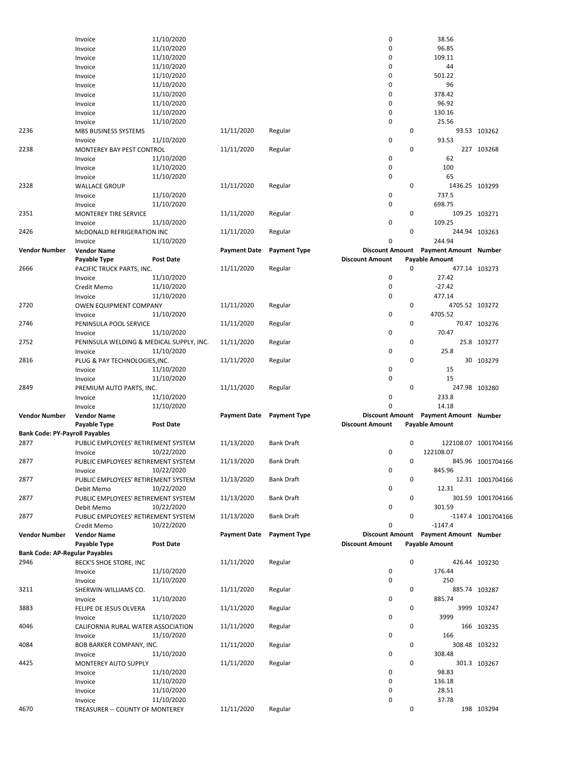|                                       | Invoice                                    | 11/10/2020       |                     |                     | 0                      |             | 38.56                                 |                      |
|---------------------------------------|--------------------------------------------|------------------|---------------------|---------------------|------------------------|-------------|---------------------------------------|----------------------|
|                                       | Invoice                                    | 11/10/2020       |                     |                     | 0                      |             | 96.85                                 |                      |
|                                       |                                            | 11/10/2020       |                     |                     | 0                      |             | 109.11                                |                      |
|                                       | Invoice                                    |                  |                     |                     |                        |             |                                       |                      |
|                                       | Invoice                                    | 11/10/2020       |                     |                     | 0                      |             | 44                                    |                      |
|                                       | Invoice                                    | 11/10/2020       |                     |                     | 0                      |             | 501.22                                |                      |
|                                       | Invoice                                    | 11/10/2020       |                     |                     | 0                      |             | 96                                    |                      |
|                                       | Invoice                                    | 11/10/2020       |                     |                     | 0                      |             | 378.42                                |                      |
|                                       | Invoice                                    | 11/10/2020       |                     |                     | 0                      |             | 96.92                                 |                      |
|                                       | Invoice                                    | 11/10/2020       |                     |                     | 0                      |             | 130.16                                |                      |
|                                       | Invoice                                    | 11/10/2020       |                     |                     | 0                      |             | 25.56                                 |                      |
| 2236                                  | <b>MBS BUSINESS SYSTEMS</b>                |                  | 11/11/2020          | Regular             |                        | 0           |                                       | 93.53 103262         |
|                                       |                                            |                  |                     |                     | 0                      |             | 93.53                                 |                      |
|                                       | Invoice                                    | 11/10/2020       |                     |                     |                        |             |                                       |                      |
| 2238                                  | MONTEREY BAY PEST CONTROL                  |                  | 11/11/2020          | Regular             |                        | 0           |                                       | 227 103268           |
|                                       | Invoice                                    | 11/10/2020       |                     |                     | 0                      |             | 62                                    |                      |
|                                       | Invoice                                    | 11/10/2020       |                     |                     | 0                      |             | 100                                   |                      |
|                                       | Invoice                                    | 11/10/2020       |                     |                     | 0                      |             | 65                                    |                      |
| 2328                                  | <b>WALLACE GROUP</b>                       |                  | 11/11/2020          | Regular             |                        | 0           | 1436.25 103299                        |                      |
|                                       | Invoice                                    | 11/10/2020       |                     |                     | 0                      |             | 737.5                                 |                      |
|                                       | Invoice                                    | 11/10/2020       |                     |                     | 0                      |             | 698.75                                |                      |
| 2351                                  | MONTEREY TIRE SERVICE                      |                  | 11/11/2020          | Regular             |                        | 0           |                                       | 109.25 103271        |
|                                       | Invoice                                    | 11/10/2020       |                     |                     | 0                      |             | 109.25                                |                      |
|                                       |                                            |                  |                     |                     |                        |             |                                       |                      |
| 2426                                  | McDONALD REFRIGERATION INC                 |                  | 11/11/2020          | Regular             |                        | 0           |                                       | 244.94 103263        |
|                                       | Invoice                                    | 11/10/2020       |                     |                     | 0                      |             | 244.94                                |                      |
| <b>Vendor Number</b>                  | <b>Vendor Name</b>                         |                  | <b>Payment Date</b> | <b>Payment Type</b> |                        |             | Discount Amount Payment Amount Number |                      |
|                                       | Payable Type                               | <b>Post Date</b> |                     |                     | <b>Discount Amount</b> |             | <b>Payable Amount</b>                 |                      |
| 2666                                  | PACIFIC TRUCK PARTS, INC.                  |                  | 11/11/2020          | Regular             |                        | $\mathbf 0$ |                                       | 477.14 103273        |
|                                       | Invoice                                    | 11/10/2020       |                     |                     | 0                      |             | 27.42                                 |                      |
|                                       | Credit Memo                                | 11/10/2020       |                     |                     | 0                      |             | $-27.42$                              |                      |
|                                       | Invoice                                    | 11/10/2020       |                     |                     | 0                      |             | 477.14                                |                      |
| 2720                                  | <b>OWEN EQUIPMENT COMPANY</b>              |                  | 11/11/2020          |                     |                        | 0           | 4705.52 103272                        |                      |
|                                       |                                            |                  |                     | Regular             |                        |             |                                       |                      |
|                                       | Invoice                                    | 11/10/2020       |                     |                     | 0                      |             | 4705.52                               |                      |
| 2746                                  | PENINSULA POOL SERVICE                     |                  | 11/11/2020          | Regular             |                        | 0           |                                       | 70.47 103276         |
|                                       | Invoice                                    | 11/10/2020       |                     |                     | 0                      |             | 70.47                                 |                      |
| 2752                                  | PENINSULA WELDING & MEDICAL SUPPLY, INC.   |                  | 11/11/2020          | Regular             |                        | 0           |                                       | 25.8 103277          |
|                                       | Invoice                                    | 11/10/2020       |                     |                     | 0                      |             | 25.8                                  |                      |
| 2816                                  | PLUG & PAY TECHNOLOGIES, INC.              |                  | 11/11/2020          | Regular             |                        | 0           |                                       | 30 103279            |
|                                       |                                            |                  |                     |                     |                        |             |                                       |                      |
|                                       |                                            |                  |                     |                     |                        |             |                                       |                      |
|                                       | Invoice                                    | 11/10/2020       |                     |                     | 0                      |             | 15                                    |                      |
|                                       | Invoice                                    | 11/10/2020       |                     |                     | 0                      |             | 15                                    |                      |
| 2849                                  | PREMIUM AUTO PARTS, INC.                   |                  | 11/11/2020          | Regular             |                        | 0           |                                       | 247.98 103280        |
|                                       | Invoice                                    | 11/10/2020       |                     |                     | 0                      |             | 233.8                                 |                      |
|                                       | Invoice                                    | 11/10/2020       |                     |                     | 0                      |             | 14.18                                 |                      |
| <b>Vendor Number</b>                  | <b>Vendor Name</b>                         |                  | <b>Payment Date</b> | <b>Payment Type</b> |                        |             | Discount Amount Payment Amount Number |                      |
|                                       | Payable Type                               | <b>Post Date</b> |                     |                     | <b>Discount Amount</b> |             | Payable Amount                        |                      |
| <b>Bank Code: PY-Payroll Payables</b> |                                            |                  |                     |                     |                        |             |                                       |                      |
| 2877                                  |                                            |                  |                     | Bank Draft          |                        | 0           |                                       |                      |
|                                       | PUBLIC EMPLOYEES' RETIREMENT SYSTEM        |                  | 11/13/2020          |                     |                        |             |                                       | 122108.07 1001704166 |
|                                       | Invoice                                    | 10/22/2020       |                     |                     | 0                      |             | 122108.07                             |                      |
| 2877                                  | PUBLIC EMPLOYEES' RETIREMENT SYSTEM        |                  | 11/13/2020          | Bank Draft          |                        | 0           |                                       | 845.96 1001704166    |
|                                       | Invoice                                    | 10/22/2020       |                     |                     | 0                      |             | 845.96                                |                      |
| 2877                                  | PUBLIC EMPLOYEES' RETIREMENT SYSTEM        |                  | 11/13/2020          | <b>Bank Draft</b>   |                        | 0           |                                       | 12.31 1001704166     |
|                                       | Debit Memo                                 | 10/22/2020       |                     |                     | 0                      |             | 12.31                                 |                      |
| 2877                                  | PUBLIC EMPLOYEES' RETIREMENT SYSTEM        |                  | 11/13/2020          | <b>Bank Draft</b>   |                        | 0           |                                       | 301.59 1001704166    |
|                                       | Debit Memo                                 | 10/22/2020       |                     |                     | 0                      |             | 301.59                                |                      |
| 2877                                  | PUBLIC EMPLOYEES' RETIREMENT SYSTEM        |                  | 11/13/2020          | <b>Bank Draft</b>   |                        | 0           |                                       | -1147.4 1001704166   |
|                                       | Credit Memo                                | 10/22/2020       |                     |                     | 0                      |             | $-1147.4$                             |                      |
|                                       |                                            |                  |                     |                     |                        |             |                                       |                      |
| <b>Vendor Number</b>                  | <b>Vendor Name</b>                         |                  | <b>Payment Date</b> | <b>Payment Type</b> |                        |             | Discount Amount Payment Amount Number |                      |
|                                       | Payable Type                               | Post Date        |                     |                     | <b>Discount Amount</b> |             | <b>Payable Amount</b>                 |                      |
| <b>Bank Code: AP-Regular Payables</b> |                                            |                  |                     |                     |                        |             |                                       |                      |
| 2946                                  | BECK'S SHOE STORE, INC                     |                  | 11/11/2020          | Regular             |                        | $\mathsf 0$ |                                       | 426.44 103230        |
|                                       | Invoice                                    | 11/10/2020       |                     |                     | 0                      |             | 176.44                                |                      |
|                                       | Invoice                                    | 11/10/2020       |                     |                     | 0                      |             | 250                                   |                      |
| 3211                                  | SHERWIN-WILLIAMS CO.                       |                  | 11/11/2020          | Regular             |                        | 0           |                                       | 885.74 103287        |
|                                       | Invoice                                    | 11/10/2020       |                     |                     | 0                      |             | 885.74                                |                      |
| 3883                                  | FELIPE DE JESUS OLVERA                     |                  | 11/11/2020          | Regular             |                        | 0           |                                       | 3999 103247          |
|                                       |                                            |                  |                     |                     | 0                      |             | 3999                                  |                      |
|                                       | Invoice                                    | 11/10/2020       |                     |                     |                        |             |                                       |                      |
| 4046                                  | CALIFORNIA RURAL WATER ASSOCIATION         |                  | 11/11/2020          | Regular             |                        | 0           |                                       | 166 103235           |
|                                       | Invoice                                    | 11/10/2020       |                     |                     | 0                      |             | 166                                   |                      |
| 4084                                  | BOB BARKER COMPANY, INC.                   |                  | 11/11/2020          | Regular             |                        | 0           |                                       | 308.48 103232        |
|                                       | Invoice                                    | 11/10/2020       |                     |                     | 0                      |             | 308.48                                |                      |
| 4425                                  | MONTEREY AUTO SUPPLY                       |                  | 11/11/2020          | Regular             |                        | 0           |                                       | 301.3 103267         |
|                                       | Invoice                                    | 11/10/2020       |                     |                     | 0                      |             | 98.83                                 |                      |
|                                       | Invoice                                    | 11/10/2020       |                     |                     | 0                      |             | 136.18                                |                      |
|                                       | Invoice                                    |                  |                     |                     | 0                      |             | 28.51                                 |                      |
|                                       |                                            | 11/10/2020       |                     |                     | 0                      |             |                                       |                      |
| 4670                                  | Invoice<br>TREASURER -- COUNTY OF MONTEREY | 11/10/2020       | 11/11/2020          | Regular             |                        | 0           | 37.78                                 | 198 103294           |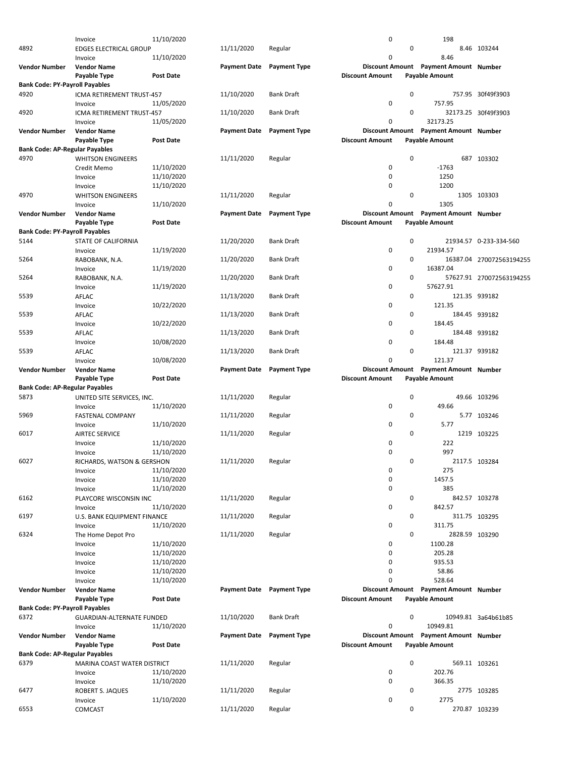|                                       | Invoice                       | 11/10/2020       |                     |                     | 0                      |             | 198                                             |                          |
|---------------------------------------|-------------------------------|------------------|---------------------|---------------------|------------------------|-------------|-------------------------------------------------|--------------------------|
| 4892                                  | <b>EDGES ELECTRICAL GROUP</b> |                  | 11/11/2020          | Regular             |                        | $\pmb{0}$   |                                                 | 8.46 103244              |
|                                       | Invoice                       | 11/10/2020       |                     |                     | 0                      |             | 8.46                                            |                          |
| <b>Vendor Number</b>                  | <b>Vendor Name</b>            |                  | <b>Payment Date</b> | <b>Payment Type</b> |                        |             | Discount Amount Payment Amount Number           |                          |
|                                       | Payable Type                  | <b>Post Date</b> |                     |                     | <b>Discount Amount</b> |             | <b>Payable Amount</b>                           |                          |
| <b>Bank Code: PY-Payroll Payables</b> |                               |                  |                     |                     |                        |             |                                                 |                          |
| 4920                                  | ICMA RETIREMENT TRUST-457     |                  | 11/10/2020          | <b>Bank Draft</b>   |                        | $\pmb{0}$   |                                                 | 757.95 30f49f3903        |
|                                       | Invoice                       | 11/05/2020       |                     |                     | 0                      |             | 757.95                                          |                          |
| 4920                                  | ICMA RETIREMENT TRUST-457     |                  | 11/10/2020          | <b>Bank Draft</b>   |                        | $\mathbf 0$ |                                                 | 32173.25 30f49f3903      |
|                                       | Invoice                       | 11/05/2020       |                     |                     | 0                      |             | 32173.25                                        |                          |
| <b>Vendor Number</b>                  | <b>Vendor Name</b>            |                  | <b>Payment Date</b> | <b>Payment Type</b> |                        |             | Discount Amount Payment Amount Number           |                          |
|                                       | Payable Type                  | <b>Post Date</b> |                     |                     | <b>Discount Amount</b> |             | <b>Payable Amount</b>                           |                          |
| <b>Bank Code: AP-Regular Payables</b> |                               |                  |                     |                     |                        |             |                                                 |                          |
| 4970                                  | <b>WHITSON ENGINEERS</b>      |                  | 11/11/2020          | Regular             |                        | $\mathbf 0$ |                                                 | 687 103302               |
|                                       | Credit Memo                   | 11/10/2020       |                     |                     | 0                      |             | $-1763$                                         |                          |
|                                       | Invoice                       | 11/10/2020       |                     |                     | 0                      |             | 1250                                            |                          |
|                                       | Invoice                       | 11/10/2020       |                     |                     | $\mathbf 0$            |             | 1200                                            |                          |
| 4970                                  | <b>WHITSON ENGINEERS</b>      |                  | 11/11/2020          | Regular             |                        | $\mathbf 0$ |                                                 | 1305 103303              |
|                                       | Invoice                       | 11/10/2020       |                     |                     | 0                      |             | 1305                                            |                          |
| <b>Vendor Number</b>                  | <b>Vendor Name</b>            |                  | <b>Payment Date</b> | <b>Payment Type</b> |                        |             | Discount Amount Payment Amount Number           |                          |
|                                       | Payable Type                  | <b>Post Date</b> |                     |                     | <b>Discount Amount</b> |             | <b>Payable Amount</b>                           |                          |
| <b>Bank Code: PY-Payroll Payables</b> |                               |                  |                     |                     |                        |             |                                                 |                          |
| 5144                                  | <b>STATE OF CALIFORNIA</b>    |                  | 11/20/2020          | Bank Draft          |                        | $\mathbf 0$ |                                                 | 21934.57 0-233-334-560   |
|                                       | Invoice                       | 11/19/2020       |                     |                     | 0                      |             | 21934.57                                        |                          |
| 5264                                  |                               |                  |                     | <b>Bank Draft</b>   |                        | $\mathbf 0$ |                                                 |                          |
|                                       | RABOBANK, N.A.                |                  | 11/20/2020          |                     |                        |             |                                                 | 16387.04 270072563194255 |
|                                       | Invoice                       | 11/19/2020       |                     |                     | 0                      |             | 16387.04                                        |                          |
| 5264                                  | RABOBANK, N.A.                |                  | 11/20/2020          | <b>Bank Draft</b>   |                        | 0           |                                                 | 57627.91 270072563194255 |
|                                       | Invoice                       | 11/19/2020       |                     |                     | 0                      |             | 57627.91                                        |                          |
| 5539                                  | AFLAC                         |                  | 11/13/2020          | Bank Draft          |                        | 0           |                                                 | 121.35 939182            |
|                                       | Invoice                       | 10/22/2020       |                     |                     | $\mathbf 0$            |             | 121.35                                          |                          |
| 5539                                  | AFLAC                         |                  | 11/13/2020          | <b>Bank Draft</b>   |                        | 0           |                                                 | 184.45 939182            |
|                                       | Invoice                       | 10/22/2020       |                     |                     | 0                      |             | 184.45                                          |                          |
| 5539                                  | AFLAC                         |                  | 11/13/2020          | Bank Draft          |                        | 0           |                                                 | 184.48 939182            |
|                                       | Invoice                       | 10/08/2020       |                     |                     | 0                      |             | 184.48                                          |                          |
| 5539                                  | AFLAC                         |                  | 11/13/2020          | <b>Bank Draft</b>   |                        | 0           |                                                 | 121.37 939182            |
|                                       | Invoice                       | 10/08/2020       |                     |                     | 0                      |             | 121.37                                          |                          |
|                                       |                               |                  |                     |                     |                        |             |                                                 |                          |
| <b>Vendor Number</b>                  | <b>Vendor Name</b>            |                  | <b>Payment Date</b> | <b>Payment Type</b> | <b>Discount Amount</b> |             | <b>Payment Amount Number</b>                    |                          |
|                                       |                               |                  |                     |                     |                        |             |                                                 |                          |
|                                       | Payable Type                  | <b>Post Date</b> |                     |                     | <b>Discount Amount</b> |             | <b>Payable Amount</b>                           |                          |
| <b>Bank Code: AP-Regular Payables</b> |                               |                  |                     |                     |                        |             |                                                 |                          |
| 5873                                  | UNITED SITE SERVICES, INC.    |                  | 11/11/2020          | Regular             |                        | $\mathbf 0$ |                                                 | 49.66 103296             |
|                                       | Invoice                       | 11/10/2020       |                     |                     | 0                      |             | 49.66                                           |                          |
| 5969                                  | <b>FASTENAL COMPANY</b>       |                  | 11/11/2020          | Regular             |                        | 0           |                                                 | 5.77 103246              |
|                                       | Invoice                       | 11/10/2020       |                     |                     | 0                      |             | 5.77                                            |                          |
| 6017                                  | <b>AIRTEC SERVICE</b>         |                  | 11/11/2020          | Regular             |                        | $\mathbf 0$ |                                                 | 1219 103225              |
|                                       | Invoice                       | 11/10/2020       |                     |                     | 0                      |             | 222                                             |                          |
|                                       | Invoice                       | 11/10/2020       |                     |                     | $\mathbf 0$            |             | 997                                             |                          |
| 6027                                  | RICHARDS, WATSON & GERSHON    |                  | 11/11/2020          | Regular             |                        | 0           |                                                 | 2117.5 103284            |
|                                       | Invoice                       | 11/10/2020       |                     |                     | 0                      |             | 275                                             |                          |
|                                       | Invoice                       | 11/10/2020       |                     |                     | 0                      |             | 1457.5                                          |                          |
|                                       | Invoice                       | 11/10/2020       |                     |                     | 0                      |             | 385                                             |                          |
| 6162                                  | PLAYCORE WISCONSIN INC        |                  | 11/11/2020          | Regular             |                        | 0           |                                                 | 842.57 103278            |
|                                       | Invoice                       | 11/10/2020       |                     |                     | 0                      |             | 842.57                                          |                          |
| 6197                                  | U.S. BANK EQUIPMENT FINANCE   |                  | 11/11/2020          | Regular             |                        | $\mathbf 0$ |                                                 | 311.75 103295            |
|                                       | Invoice                       | 11/10/2020       |                     |                     | 0                      |             | 311.75                                          |                          |
| 6324                                  | The Home Depot Pro            |                  | 11/11/2020          | Regular             |                        | $\mathbf 0$ | 2828.59 103290                                  |                          |
|                                       | Invoice                       | 11/10/2020       |                     |                     | 0                      |             | 1100.28                                         |                          |
|                                       | Invoice                       | 11/10/2020       |                     |                     | 0                      |             | 205.28                                          |                          |
|                                       | Invoice                       | 11/10/2020       |                     |                     | $\mathbf 0$            |             | 935.53                                          |                          |
|                                       |                               | 11/10/2020       |                     |                     | 0                      |             | 58.86                                           |                          |
|                                       | Invoice                       |                  |                     |                     | 0                      |             |                                                 |                          |
| <b>Vendor Number</b>                  | Invoice<br><b>Vendor Name</b> | 11/10/2020       | <b>Payment Date</b> | <b>Payment Type</b> |                        |             | 528.64<br>Discount Amount Payment Amount Number |                          |
|                                       |                               |                  |                     |                     |                        |             |                                                 |                          |
|                                       | Payable Type                  | Post Date        |                     |                     | <b>Discount Amount</b> |             | <b>Payable Amount</b>                           |                          |
| <b>Bank Code: PY-Payroll Payables</b> |                               |                  |                     |                     |                        |             |                                                 |                          |
| 6372                                  | GUARDIAN-ALTERNATE FUNDED     |                  | 11/10/2020          | Bank Draft          |                        | 0           |                                                 | 10949.81 3a64b61b85      |
|                                       | Invoice                       | 11/10/2020       |                     |                     | $\mathbf 0$            |             | 10949.81                                        |                          |
| <b>Vendor Number</b>                  | <b>Vendor Name</b>            |                  | <b>Payment Date</b> | <b>Payment Type</b> |                        |             | Discount Amount Payment Amount Number           |                          |
|                                       | Payable Type                  | Post Date        |                     |                     | <b>Discount Amount</b> |             | <b>Payable Amount</b>                           |                          |
| <b>Bank Code: AP-Regular Payables</b> |                               |                  |                     |                     |                        |             |                                                 |                          |
| 6379                                  | MARINA COAST WATER DISTRICT   |                  | 11/11/2020          | Regular             |                        | $\pmb{0}$   |                                                 | 569.11 103261            |
|                                       | Invoice                       | 11/10/2020       |                     |                     | 0                      |             | 202.76                                          |                          |
|                                       | Invoice                       | 11/10/2020       |                     |                     | 0                      |             | 366.35                                          |                          |
| 6477                                  | ROBERT S. JAQUES              |                  | 11/11/2020          | Regular             |                        | 0           |                                                 | 2775 103285              |
| 6553                                  | Invoice<br>COMCAST            | 11/10/2020       | 11/11/2020          | Regular             | 0                      | 0           | 2775                                            | 270.87 103239            |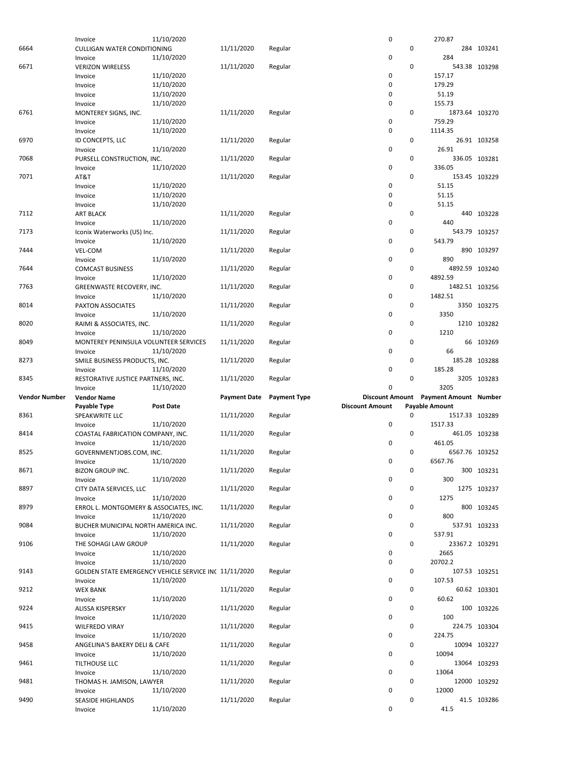|                      | Invoice                                               | 11/10/2020       |                     |                     | 0                      |             | 270.87                                |               |
|----------------------|-------------------------------------------------------|------------------|---------------------|---------------------|------------------------|-------------|---------------------------------------|---------------|
|                      |                                                       |                  |                     |                     |                        | 0           |                                       |               |
| 6664                 | <b>CULLIGAN WATER CONDITIONING</b>                    |                  | 11/11/2020          | Regular             |                        |             |                                       | 284 103241    |
|                      | Invoice                                               | 11/10/2020       |                     |                     | 0                      |             | 284                                   |               |
| 6671                 | <b>VERIZON WIRELESS</b>                               |                  | 11/11/2020          | Regular             |                        | 0           |                                       | 543.38 103298 |
|                      | Invoice                                               | 11/10/2020       |                     |                     | 0                      |             | 157.17                                |               |
|                      | Invoice                                               | 11/10/2020       |                     |                     | 0                      |             | 179.29                                |               |
|                      |                                                       |                  |                     |                     |                        |             |                                       |               |
|                      | Invoice                                               | 11/10/2020       |                     |                     | 0                      |             | 51.19                                 |               |
|                      | Invoice                                               | 11/10/2020       |                     |                     | 0                      |             | 155.73                                |               |
| 6761                 | MONTEREY SIGNS, INC.                                  |                  | 11/11/2020          | Regular             |                        | 0           | 1873.64 103270                        |               |
|                      | Invoice                                               | 11/10/2020       |                     |                     | 0                      |             | 759.29                                |               |
|                      |                                                       | 11/10/2020       |                     |                     | 0                      |             | 1114.35                               |               |
|                      | Invoice                                               |                  |                     |                     |                        |             |                                       |               |
| 6970                 | ID CONCEPTS, LLC                                      |                  | 11/11/2020          | Regular             |                        | 0           |                                       | 26.91 103258  |
|                      | Invoice                                               | 11/10/2020       |                     |                     | 0                      |             | 26.91                                 |               |
| 7068                 | PURSELL CONSTRUCTION, INC.                            |                  | 11/11/2020          | Regular             |                        | 0           |                                       | 336.05 103281 |
|                      | Invoice                                               | 11/10/2020       |                     |                     | 0                      |             | 336.05                                |               |
|                      |                                                       |                  |                     |                     |                        |             |                                       |               |
| 7071                 | AT&T                                                  |                  | 11/11/2020          | Regular             |                        | 0           |                                       | 153.45 103229 |
|                      | Invoice                                               | 11/10/2020       |                     |                     | 0                      |             | 51.15                                 |               |
|                      | Invoice                                               | 11/10/2020       |                     |                     | 0                      |             | 51.15                                 |               |
|                      | Invoice                                               | 11/10/2020       |                     |                     | 0                      |             | 51.15                                 |               |
| 7112                 | <b>ART BLACK</b>                                      |                  | 11/11/2020          | Regular             |                        | 0           |                                       | 440 103228    |
|                      |                                                       |                  |                     |                     |                        |             |                                       |               |
|                      | Invoice                                               | 11/10/2020       |                     |                     | 0                      |             | 440                                   |               |
| 7173                 | Iconix Waterworks (US) Inc.                           |                  | 11/11/2020          | Regular             |                        | $\mathbf 0$ |                                       | 543.79 103257 |
|                      | Invoice                                               | 11/10/2020       |                     |                     | 0                      |             | 543.79                                |               |
| 7444                 | VEL-COM                                               |                  | 11/11/2020          | Regular             |                        | 0           |                                       | 890 103297    |
|                      |                                                       |                  |                     |                     |                        |             |                                       |               |
|                      | Invoice                                               | 11/10/2020       |                     |                     | 0                      |             | 890                                   |               |
| 7644                 | <b>COMCAST BUSINESS</b>                               |                  | 11/11/2020          | Regular             |                        | 0           | 4892.59 103240                        |               |
|                      | Invoice                                               | 11/10/2020       |                     |                     | 0                      |             | 4892.59                               |               |
| 7763                 | GREENWASTE RECOVERY, INC.                             |                  | 11/11/2020          | Regular             |                        | 0           | 1482.51 103256                        |               |
|                      |                                                       |                  |                     |                     | 0                      |             | 1482.51                               |               |
|                      | Invoice                                               | 11/10/2020       |                     |                     |                        |             |                                       |               |
| 8014                 | PAXTON ASSOCIATES                                     |                  | 11/11/2020          | Regular             |                        | 0           |                                       | 3350 103275   |
|                      | Invoice                                               | 11/10/2020       |                     |                     | 0                      |             | 3350                                  |               |
| 8020                 | RAIMI & ASSOCIATES, INC.                              |                  | 11/11/2020          | Regular             |                        | 0           |                                       | 1210 103282   |
|                      | Invoice                                               | 11/10/2020       |                     |                     | 0                      |             | 1210                                  |               |
|                      |                                                       |                  |                     |                     |                        |             |                                       |               |
| 8049                 | MONTEREY PENINSULA VOLUNTEER SERVICES                 |                  | 11/11/2020          | Regular             |                        | 0           |                                       | 66 103269     |
|                      | Invoice                                               | 11/10/2020       |                     |                     | 0                      |             | 66                                    |               |
| 8273                 | SMILE BUSINESS PRODUCTS, INC.                         |                  | 11/11/2020          | Regular             |                        | 0           |                                       | 185.28 103288 |
|                      | Invoice                                               | 11/10/2020       |                     |                     | 0                      |             | 185.28                                |               |
|                      |                                                       |                  |                     |                     |                        |             |                                       |               |
|                      |                                                       |                  |                     |                     |                        |             |                                       |               |
| 8345                 | RESTORATIVE JUSTICE PARTNERS, INC.                    |                  | 11/11/2020          | Regular             |                        | 0           |                                       | 3205 103283   |
|                      | Invoice                                               | 11/10/2020       |                     |                     | $\mathbf 0$            |             | 3205                                  |               |
| <b>Vendor Number</b> | <b>Vendor Name</b>                                    |                  | <b>Payment Date</b> | <b>Payment Type</b> |                        |             | Discount Amount Payment Amount Number |               |
|                      |                                                       | <b>Post Date</b> |                     |                     | <b>Discount Amount</b> |             |                                       |               |
|                      | Payable Type                                          |                  |                     |                     |                        |             | <b>Payable Amount</b>                 |               |
| 8361                 | SPEAKWRITE LLC                                        |                  | 11/11/2020          | Regular             |                        | $\mathbf 0$ | 1517.33 103289                        |               |
|                      | Invoice                                               | 11/10/2020       |                     |                     | 0                      |             | 1517.33                               |               |
| 8414                 | COASTAL FABRICATION COMPANY, INC.                     |                  | 11/11/2020          | Regular             |                        | 0           |                                       | 461.05 103238 |
|                      | Invoice                                               | 11/10/2020       |                     |                     | 0                      |             | 461.05                                |               |
| 8525                 |                                                       |                  |                     |                     |                        | 0           | 6567.76 103252                        |               |
|                      | GOVERNMENTJOBS.COM, INC.                              |                  | 11/11/2020          | Regular             |                        |             |                                       |               |
|                      | Invoice                                               | 11/10/2020       |                     |                     | $\mathbf 0$            |             | 6567.76                               |               |
| 8671                 | <b>BIZON GROUP INC.</b>                               |                  | 11/11/2020          | Regular             |                        | 0           |                                       | 300 103231    |
|                      | Invoice                                               | 11/10/2020       |                     |                     | 0                      |             | 300                                   |               |
| 8897                 | CITY DATA SERVICES, LLC                               |                  | 11/11/2020          | Regular             |                        | 0           |                                       | 1275 103237   |
|                      |                                                       |                  |                     |                     |                        |             |                                       |               |
|                      | Invoice                                               | 11/10/2020       |                     |                     | 0                      |             | 1275                                  |               |
| 8979                 | ERROL L. MONTGOMERY & ASSOCIATES, INC.                |                  | 11/11/2020          | Regular             |                        | 0           |                                       | 800 103245    |
|                      | Invoice                                               | 11/10/2020       |                     |                     | 0                      |             | 800                                   |               |
| 9084                 | BUCHER MUNICIPAL NORTH AMERICA INC.                   |                  | 11/11/2020          | Regular             |                        | 0           |                                       | 537.91 103233 |
|                      | Invoice                                               | 11/10/2020       |                     |                     | $\pmb{0}$              |             | 537.91                                |               |
|                      |                                                       |                  |                     |                     |                        |             |                                       |               |
| 9106                 | THE SOHAGI LAW GROUP                                  |                  | 11/11/2020          | Regular             |                        | 0           | 23367.2 103291                        |               |
|                      | Invoice                                               | 11/10/2020       |                     |                     | 0                      |             | 2665                                  |               |
|                      | Invoice                                               | 11/10/2020       |                     |                     | 0                      |             | 20702.2                               |               |
| 9143                 | GOLDEN STATE EMERGENCY VEHICLE SERVICE INC 11/11/2020 |                  |                     | Regular             |                        | 0           |                                       | 107.53 103251 |
|                      | Invoice                                               | 11/10/2020       |                     |                     | $\pmb{0}$              |             | 107.53                                |               |
|                      |                                                       |                  |                     |                     |                        |             |                                       |               |
| 9212                 | <b>WEX BANK</b>                                       |                  | 11/11/2020          | Regular             |                        | 0           |                                       | 60.62 103301  |
|                      | Invoice                                               | 11/10/2020       |                     |                     | 0                      |             | 60.62                                 |               |
| 9224                 | ALISSA KISPERSKY                                      |                  | 11/11/2020          | Regular             |                        | 0           |                                       | 100 103226    |
|                      | Invoice                                               | 11/10/2020       |                     |                     | 0                      |             | 100                                   |               |
| 9415                 | <b>WILFREDO VIRAY</b>                                 |                  | 11/11/2020          | Regular             |                        | 0           |                                       | 224.75 103304 |
|                      |                                                       |                  |                     |                     |                        |             |                                       |               |
|                      | Invoice                                               | 11/10/2020       |                     |                     | 0                      |             | 224.75                                |               |
| 9458                 | ANGELINA'S BAKERY DELI & CAFE                         |                  | 11/11/2020          | Regular             |                        | 0           |                                       | 10094 103227  |
|                      | Invoice                                               | 11/10/2020       |                     |                     | 0                      |             | 10094                                 |               |
| 9461                 | TILTHOUSE LLC                                         |                  | 11/11/2020          | Regular             |                        | 0           |                                       | 13064 103293  |
|                      | Invoice                                               | 11/10/2020       |                     |                     | 0                      |             | 13064                                 |               |
|                      |                                                       |                  |                     |                     |                        |             |                                       |               |
| 9481                 | THOMAS H. JAMISON, LAWYER                             |                  | 11/11/2020          | Regular             |                        | 0           |                                       | 12000 103292  |
|                      | Invoice                                               | 11/10/2020       |                     |                     | 0                      |             | 12000                                 |               |
| 9490                 | SEASIDE HIGHLANDS                                     | 11/10/2020       | 11/11/2020          | Regular             | 0                      | 0           | 41.5                                  | 41.5 103286   |